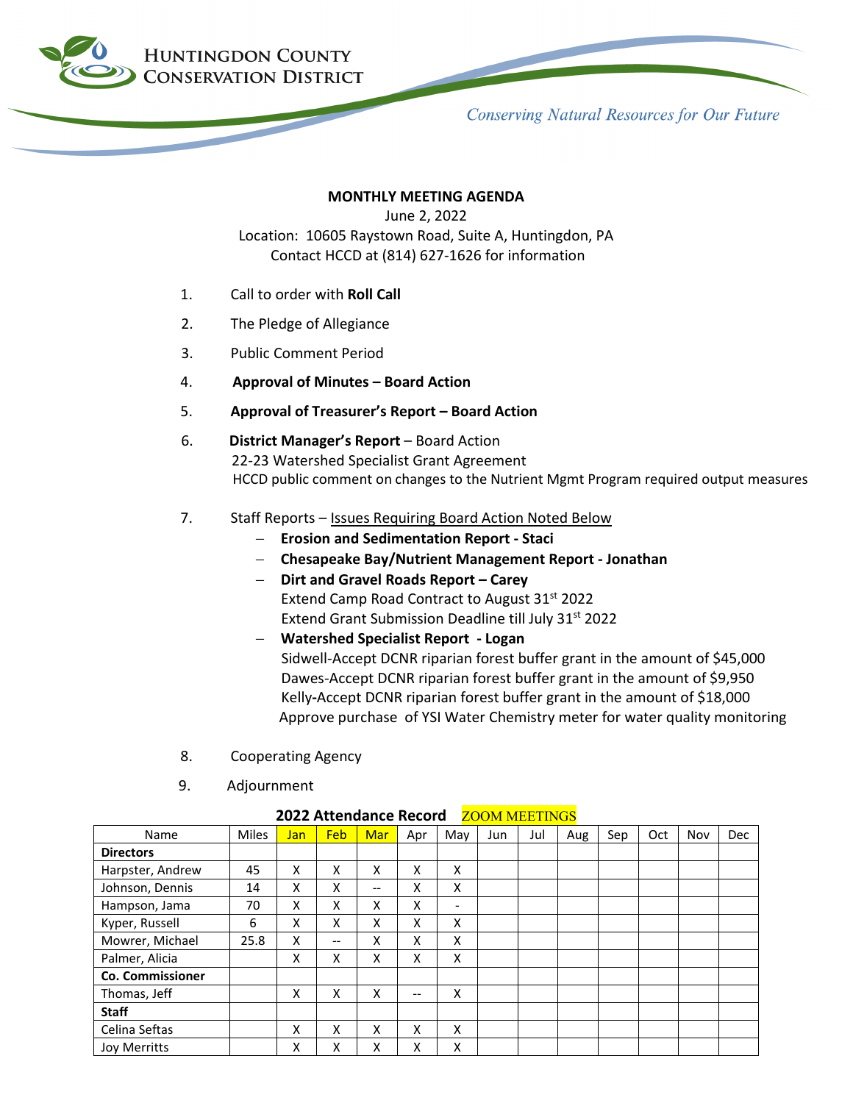

**Conserving Natural Resources for Our Future** 

## **MONTHLY MEETING AGENDA**

June 2, 2022

Location: 10605 Raystown Road, Suite A, Huntingdon, PA Contact HCCD at (814) 627-1626 for information

- 1. Call to order with **Roll Call**
- 2. The Pledge of Allegiance
- 3. Public Comment Period
- 4. **Approval of Minutes – Board Action**
- 5. **Approval of Treasurer's Report – Board Action**
- 6. **District Manager's Report** Board Action 22-23 Watershed Specialist Grant Agreement HCCD public comment on changes to the Nutrient Mgmt Program required output measures
- 7. Staff Reports Issues Requiring Board Action Noted Below
	- − **Erosion and Sedimentation Report - Staci**
	- − **Chesapeake Bay/Nutrient Management Report - Jonathan**
	- − **Dirt and Gravel Roads Report – Carey** Extend Camp Road Contract to August 31<sup>st</sup> 2022 Extend Grant Submission Deadline till July 31st 2022
	- − **Watershed Specialist Report - Logan** Sidwell-Accept DCNR riparian forest buffer grant in the amount of \$45,000 Dawes-Accept DCNR riparian forest buffer grant in the amount of \$9,950 Kelly**-**Accept DCNR riparian forest buffer grant in the amount of \$18,000 Approve purchase of YSI Water Chemistry meter for water quality monitoring
- 8. Cooperating Agency
- 9. Adjournment

| Name                    | <b>Miles</b> | Jan | Feb   | Mar   | Apr | May | Jun | Jul | Aug | Sep | Oct | Nov | <b>Dec</b> |
|-------------------------|--------------|-----|-------|-------|-----|-----|-----|-----|-----|-----|-----|-----|------------|
| <b>Directors</b>        |              |     |       |       |     |     |     |     |     |     |     |     |            |
| Harpster, Andrew        | 45           | x   | X     | X     | x   | X   |     |     |     |     |     |     |            |
| Johnson, Dennis         | 14           | x   | x     | $- -$ | Χ   | X   |     |     |     |     |     |     |            |
| Hampson, Jama           | 70           | x   | X     | x     | x   | -   |     |     |     |     |     |     |            |
| Kyper, Russell          | 6            | x   | X     | X     | x   | X   |     |     |     |     |     |     |            |
| Mowrer, Michael         | 25.8         | x   | $- -$ | Χ     | Χ   | X   |     |     |     |     |     |     |            |
| Palmer, Alicia          |              | X   | X     | x     | X   | X   |     |     |     |     |     |     |            |
| <b>Co. Commissioner</b> |              |     |       |       |     |     |     |     |     |     |     |     |            |
| Thomas, Jeff            |              | X   | X     | X     | --  | X   |     |     |     |     |     |     |            |
| <b>Staff</b>            |              |     |       |       |     |     |     |     |     |     |     |     |            |
| Celina Seftas           |              | x   | X     | Χ     | x   | X   |     |     |     |     |     |     |            |
| <b>Joy Merritts</b>     |              | x   | x     | x     | x   | x   |     |     |     |     |     |     |            |

## **2022 Attendance Record** ZOOM MEETINGS